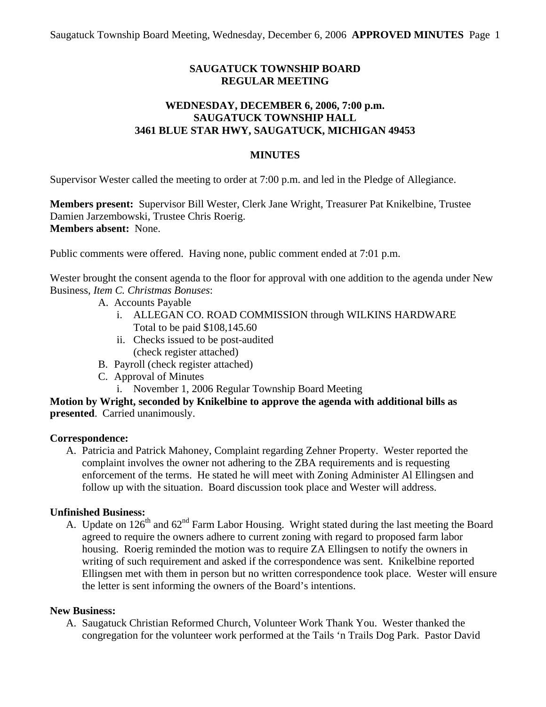# **SAUGATUCK TOWNSHIP BOARD REGULAR MEETING**

## **WEDNESDAY, DECEMBER 6, 2006, 7:00 p.m. SAUGATUCK TOWNSHIP HALL 3461 BLUE STAR HWY, SAUGATUCK, MICHIGAN 49453**

## **MINUTES**

Supervisor Wester called the meeting to order at 7:00 p.m. and led in the Pledge of Allegiance.

**Members present:** Supervisor Bill Wester, Clerk Jane Wright, Treasurer Pat Knikelbine, Trustee Damien Jarzembowski, Trustee Chris Roerig. **Members absent:** None.

Public comments were offered. Having none, public comment ended at 7:01 p.m.

Wester brought the consent agenda to the floor for approval with one addition to the agenda under New Business, *Item C. Christmas Bonuses*:

- A. Accounts Payable
	- i. ALLEGAN CO. ROAD COMMISSION through WILKINS HARDWARE Total to be paid \$108,145.60
	- ii. Checks issued to be post-audited (check register attached)
- B. Payroll (check register attached)
- C. Approval of Minutes
	- i. November 1, 2006 Regular Township Board Meeting

**Motion by Wright, seconded by Knikelbine to approve the agenda with additional bills as presented**. Carried unanimously.

### **Correspondence:**

A. Patricia and Patrick Mahoney, Complaint regarding Zehner Property. Wester reported the complaint involves the owner not adhering to the ZBA requirements and is requesting enforcement of the terms. He stated he will meet with Zoning Administer Al Ellingsen and follow up with the situation. Board discussion took place and Wester will address.

### **Unfinished Business:**

A. Update on  $126<sup>th</sup>$  and  $62<sup>nd</sup>$  Farm Labor Housing. Wright stated during the last meeting the Board agreed to require the owners adhere to current zoning with regard to proposed farm labor housing. Roerig reminded the motion was to require ZA Ellingsen to notify the owners in writing of such requirement and asked if the correspondence was sent. Knikelbine reported Ellingsen met with them in person but no written correspondence took place. Wester will ensure the letter is sent informing the owners of the Board's intentions.

### **New Business:**

A. Saugatuck Christian Reformed Church, Volunteer Work Thank You. Wester thanked the congregation for the volunteer work performed at the Tails 'n Trails Dog Park. Pastor David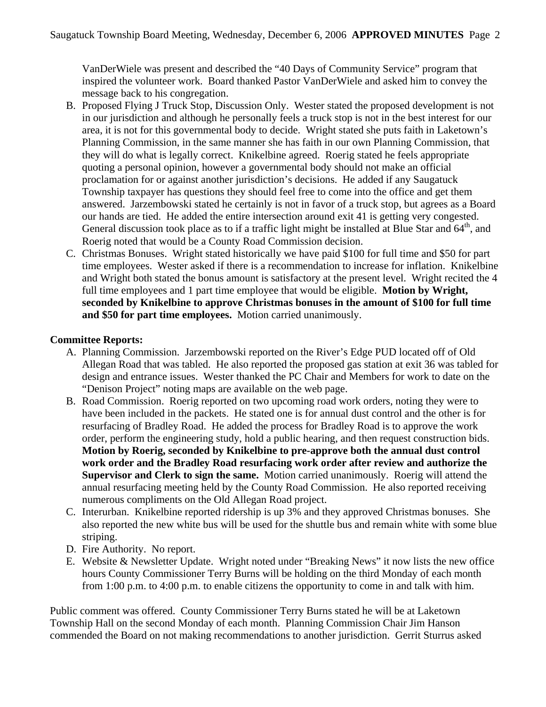VanDerWiele was present and described the "40 Days of Community Service" program that inspired the volunteer work. Board thanked Pastor VanDerWiele and asked him to convey the message back to his congregation.

- B. Proposed Flying J Truck Stop, Discussion Only. Wester stated the proposed development is not in our jurisdiction and although he personally feels a truck stop is not in the best interest for our area, it is not for this governmental body to decide. Wright stated she puts faith in Laketown's Planning Commission, in the same manner she has faith in our own Planning Commission, that they will do what is legally correct. Knikelbine agreed. Roerig stated he feels appropriate quoting a personal opinion, however a governmental body should not make an official proclamation for or against another jurisdiction's decisions. He added if any Saugatuck Township taxpayer has questions they should feel free to come into the office and get them answered. Jarzembowski stated he certainly is not in favor of a truck stop, but agrees as a Board our hands are tied. He added the entire intersection around exit 41 is getting very congested. General discussion took place as to if a traffic light might be installed at Blue Star and  $64<sup>th</sup>$ , and Roerig noted that would be a County Road Commission decision.
- C. Christmas Bonuses. Wright stated historically we have paid \$100 for full time and \$50 for part time employees. Wester asked if there is a recommendation to increase for inflation. Knikelbine and Wright both stated the bonus amount is satisfactory at the present level. Wright recited the 4 full time employees and 1 part time employee that would be eligible. **Motion by Wright, seconded by Knikelbine to approve Christmas bonuses in the amount of \$100 for full time and \$50 for part time employees.** Motion carried unanimously.

## **Committee Reports:**

- A. Planning Commission. Jarzembowski reported on the River's Edge PUD located off of Old Allegan Road that was tabled. He also reported the proposed gas station at exit 36 was tabled for design and entrance issues. Wester thanked the PC Chair and Members for work to date on the "Denison Project" noting maps are available on the web page.
- B. Road Commission. Roerig reported on two upcoming road work orders, noting they were to have been included in the packets. He stated one is for annual dust control and the other is for resurfacing of Bradley Road. He added the process for Bradley Road is to approve the work order, perform the engineering study, hold a public hearing, and then request construction bids. **Motion by Roerig, seconded by Knikelbine to pre-approve both the annual dust control work order and the Bradley Road resurfacing work order after review and authorize the Supervisor and Clerk to sign the same.** Motion carried unanimously. Roerig will attend the annual resurfacing meeting held by the County Road Commission. He also reported receiving numerous compliments on the Old Allegan Road project.
- C. Interurban. Knikelbine reported ridership is up 3% and they approved Christmas bonuses. She also reported the new white bus will be used for the shuttle bus and remain white with some blue striping.
- D. Fire Authority. No report.
- E. Website & Newsletter Update. Wright noted under "Breaking News" it now lists the new office hours County Commissioner Terry Burns will be holding on the third Monday of each month from 1:00 p.m. to 4:00 p.m. to enable citizens the opportunity to come in and talk with him.

Public comment was offered. County Commissioner Terry Burns stated he will be at Laketown Township Hall on the second Monday of each month. Planning Commission Chair Jim Hanson commended the Board on not making recommendations to another jurisdiction. Gerrit Sturrus asked